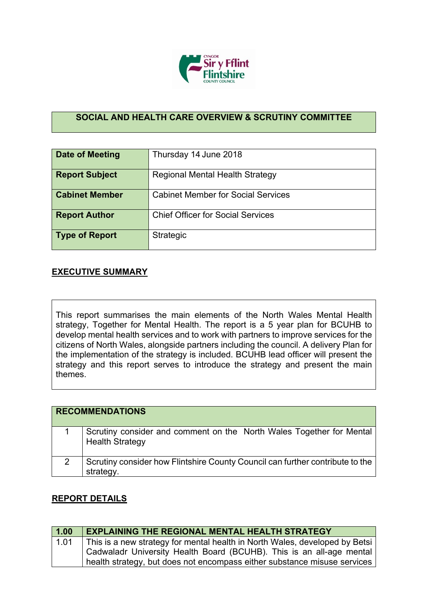

## **SOCIAL AND HEALTH CARE OVERVIEW & SCRUTINY COMMITTEE**

| Date of Meeting       | Thursday 14 June 2018                     |
|-----------------------|-------------------------------------------|
| <b>Report Subject</b> | <b>Regional Mental Health Strategy</b>    |
| <b>Cabinet Member</b> | <b>Cabinet Member for Social Services</b> |
| <b>Report Author</b>  | <b>Chief Officer for Social Services</b>  |
| Type of Report        | Strategic                                 |

## **EXECUTIVE SUMMARY**

This report summarises the main elements of the North Wales Mental Health strategy, Together for Mental Health. The report is a 5 year plan for BCUHB to develop mental health services and to work with partners to improve services for the citizens of North Wales, alongside partners including the council. A delivery Plan for the implementation of the strategy is included. BCUHB lead officer will present the strategy and this report serves to introduce the strategy and present the main themes.

| <b>RECOMMENDATIONS</b> |                                                                                                |
|------------------------|------------------------------------------------------------------------------------------------|
|                        | Scrutiny consider and comment on the North Wales Together for Mental<br><b>Health Strategy</b> |
| 2                      | Scrutiny consider how Flintshire County Council can further contribute to the<br>strategy.     |

## **REPORT DETAILS**

| 1.00 | <b>EXPLAINING THE REGIONAL MENTAL HEALTH STRATEGY</b>                       |
|------|-----------------------------------------------------------------------------|
| 1.01 | This is a new strategy for mental health in North Wales, developed by Betsi |
|      | Cadwaladr University Health Board (BCUHB). This is an all-age mental        |
|      | health strategy, but does not encompass either substance misuse services    |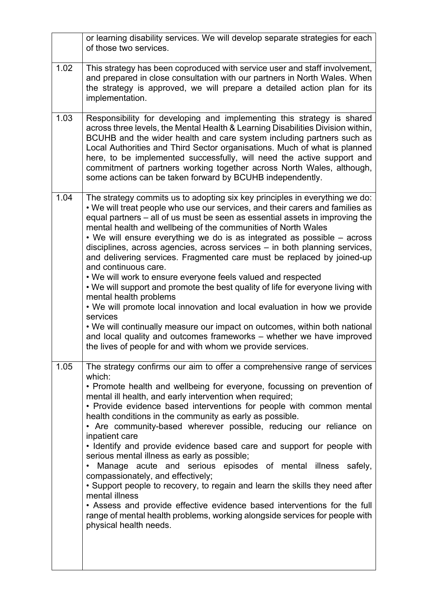|      | or learning disability services. We will develop separate strategies for each<br>of those two services.                                                                                                                                                                                                                                                                                                                                                                                                                                                                                                                                                                                                                                                                                                                                                                                                                                                                                                                                                            |
|------|--------------------------------------------------------------------------------------------------------------------------------------------------------------------------------------------------------------------------------------------------------------------------------------------------------------------------------------------------------------------------------------------------------------------------------------------------------------------------------------------------------------------------------------------------------------------------------------------------------------------------------------------------------------------------------------------------------------------------------------------------------------------------------------------------------------------------------------------------------------------------------------------------------------------------------------------------------------------------------------------------------------------------------------------------------------------|
| 1.02 | This strategy has been coproduced with service user and staff involvement,<br>and prepared in close consultation with our partners in North Wales. When<br>the strategy is approved, we will prepare a detailed action plan for its<br>implementation.                                                                                                                                                                                                                                                                                                                                                                                                                                                                                                                                                                                                                                                                                                                                                                                                             |
| 1.03 | Responsibility for developing and implementing this strategy is shared<br>across three levels, the Mental Health & Learning Disabilities Division within,<br>BCUHB and the wider health and care system including partners such as<br>Local Authorities and Third Sector organisations. Much of what is planned<br>here, to be implemented successfully, will need the active support and<br>commitment of partners working together across North Wales, although,<br>some actions can be taken forward by BCUHB independently.                                                                                                                                                                                                                                                                                                                                                                                                                                                                                                                                    |
| 1.04 | The strategy commits us to adopting six key principles in everything we do:<br>. We will treat people who use our services, and their carers and families as<br>equal partners – all of us must be seen as essential assets in improving the<br>mental health and wellbeing of the communities of North Wales<br>• We will ensure everything we do is as integrated as possible – across<br>disciplines, across agencies, across services - in both planning services,<br>and delivering services. Fragmented care must be replaced by joined-up<br>and continuous care.<br>. We will work to ensure everyone feels valued and respected<br>. We will support and promote the best quality of life for everyone living with<br>mental health problems<br>. We will promote local innovation and local evaluation in how we provide<br>services<br>. We will continually measure our impact on outcomes, within both national<br>and local quality and outcomes frameworks - whether we have improved<br>the lives of people for and with whom we provide services. |
| 1.05 | The strategy confirms our aim to offer a comprehensive range of services<br>which:<br>• Promote health and wellbeing for everyone, focussing on prevention of<br>mental ill health, and early intervention when required;<br>• Provide evidence based interventions for people with common mental<br>health conditions in the community as early as possible.<br>• Are community-based wherever possible, reducing our reliance on<br>inpatient care<br>· Identify and provide evidence based care and support for people with<br>serious mental illness as early as possible;<br>Manage acute and serious episodes of mental illness safely,<br>compassionately, and effectively;<br>• Support people to recovery, to regain and learn the skills they need after<br>mental illness<br>• Assess and provide effective evidence based interventions for the full<br>range of mental health problems, working alongside services for people with<br>physical health needs.                                                                                          |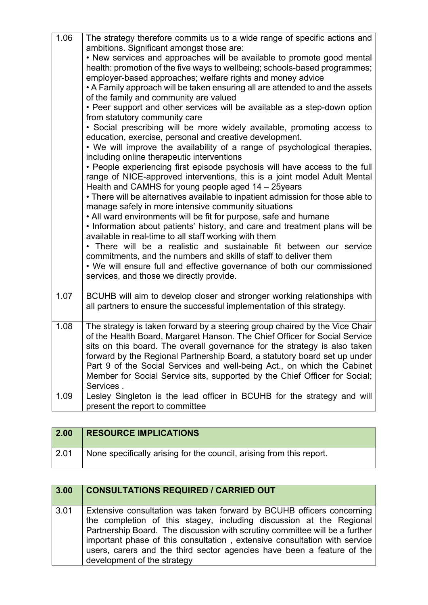| 1.06 | The strategy therefore commits us to a wide range of specific actions and<br>ambitions. Significant amongst those are:<br>• New services and approaches will be available to promote good mental<br>health: promotion of the five ways to wellbeing; schools-based programmes;<br>employer-based approaches; welfare rights and money advice<br>• A Family approach will be taken ensuring all are attended to and the assets<br>of the family and community are valued<br>• Peer support and other services will be available as a step-down option<br>from statutory community care<br>· Social prescribing will be more widely available, promoting access to<br>education, exercise, personal and creative development.<br>• We will improve the availability of a range of psychological therapies,<br>including online therapeutic interventions<br>• People experiencing first episode psychosis will have access to the full<br>range of NICE-approved interventions, this is a joint model Adult Mental<br>Health and CAMHS for young people aged 14 - 25years<br>• There will be alternatives available to inpatient admission for those able to<br>manage safely in more intensive community situations<br>• All ward environments will be fit for purpose, safe and humane<br>. Information about patients' history, and care and treatment plans will be<br>available in real-time to all staff working with them<br>• There will be a realistic and sustainable fit between our service<br>commitments, and the numbers and skills of staff to deliver them<br>• We will ensure full and effective governance of both our commissioned<br>services, and those we directly provide. |
|------|--------------------------------------------------------------------------------------------------------------------------------------------------------------------------------------------------------------------------------------------------------------------------------------------------------------------------------------------------------------------------------------------------------------------------------------------------------------------------------------------------------------------------------------------------------------------------------------------------------------------------------------------------------------------------------------------------------------------------------------------------------------------------------------------------------------------------------------------------------------------------------------------------------------------------------------------------------------------------------------------------------------------------------------------------------------------------------------------------------------------------------------------------------------------------------------------------------------------------------------------------------------------------------------------------------------------------------------------------------------------------------------------------------------------------------------------------------------------------------------------------------------------------------------------------------------------------------------------------------------------------------------------------------------------------------------------------|
| 1.07 | BCUHB will aim to develop closer and stronger working relationships with<br>all partners to ensure the successful implementation of this strategy.                                                                                                                                                                                                                                                                                                                                                                                                                                                                                                                                                                                                                                                                                                                                                                                                                                                                                                                                                                                                                                                                                                                                                                                                                                                                                                                                                                                                                                                                                                                                               |
|      |                                                                                                                                                                                                                                                                                                                                                                                                                                                                                                                                                                                                                                                                                                                                                                                                                                                                                                                                                                                                                                                                                                                                                                                                                                                                                                                                                                                                                                                                                                                                                                                                                                                                                                  |
| 1.08 | The strategy is taken forward by a steering group chaired by the Vice Chair<br>of the Health Board, Margaret Hanson. The Chief Officer for Social Service<br>sits on this board. The overall governance for the strategy is also taken<br>forward by the Regional Partnership Board, a statutory board set up under<br>Part 9 of the Social Services and well-being Act., on which the Cabinet<br>Member for Social Service sits, supported by the Chief Officer for Social;<br>Services.                                                                                                                                                                                                                                                                                                                                                                                                                                                                                                                                                                                                                                                                                                                                                                                                                                                                                                                                                                                                                                                                                                                                                                                                        |
| 1.09 | Lesley Singleton is the lead officer in BCUHB for the strategy and will<br>present the report to committee                                                                                                                                                                                                                                                                                                                                                                                                                                                                                                                                                                                                                                                                                                                                                                                                                                                                                                                                                                                                                                                                                                                                                                                                                                                                                                                                                                                                                                                                                                                                                                                       |

| 2.00 | <b>RESOURCE IMPLICATIONS</b>                                         |
|------|----------------------------------------------------------------------|
| 2.01 | None specifically arising for the council, arising from this report. |

| 3.00 | <b>CONSULTATIONS REQUIRED / CARRIED OUT</b>                                                                                                                                                                                                                                                                                                                                                                       |
|------|-------------------------------------------------------------------------------------------------------------------------------------------------------------------------------------------------------------------------------------------------------------------------------------------------------------------------------------------------------------------------------------------------------------------|
| 3.01 | Extensive consultation was taken forward by BCUHB officers concerning<br>the completion of this stagey, including discussion at the Regional<br>Partnership Board. The discussion with scrutiny committee will be a further<br>important phase of this consultation, extensive consultation with service<br>users, carers and the third sector agencies have been a feature of the<br>development of the strategy |